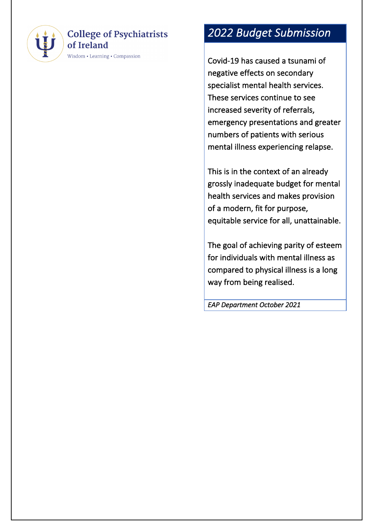

#### **College of Psychiatrists** of Ireland

Wisdom • Learning • Compassion

# *2022 Budget Submission*

Covid -19 has caused a tsunami of negative effects on secondary specialist mental health services. These services continue to see increased severity of referrals, emergency presentations and greater numbers of patients with serious mental illness experiencing relapse.

This is in the context of an already grossly inadequate budget for mental health services and makes provision of a modern, fit for purpose, equitable service for all, unattainable.

The goal of achieving parity of esteem for individuals with mental illness as compared to physical illness is a long way from being realised.

*EAP Department October 2021*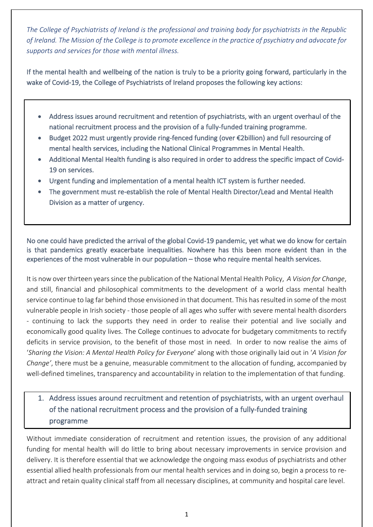*The College of Psychiatrists of Ireland is the professional and training body for psychiatrists in the Republic of Ireland. The Mission of the College is to promote excellence in the practice of psychiatry and advocate for supports and services for those with mental illness.*

If the mental health and wellbeing of the nation is truly to be a priority going forward, particularly in the wake of Covid-19, the College of Psychiatrists of Ireland proposes the following key actions:

- Address issues around recruitment and retention of psychiatrists, with an urgent overhaul of the national recruitment process and the provision of a fully-funded training programme.
- Budget 2022 must urgently provide ring-fenced funding (over €2billion) and full resourcing of mental health services, including the National Clinical Programmes in Mental Health.
- Additional Mental Health funding is also required in order to address the specific impact of Covid-19 on services.
- Urgent funding and implementation of a mental health ICT system is further needed.
- The government must re-establish the role of Mental Health Director/Lead and Mental Health Division as a matter of urgency.

No one could have predicted the arrival of the global Covid-19 pandemic, yet what we do know for certain is that pandemics greatly exacerbate inequalities. Nowhere has this been more evident than in the experiences of the most vulnerable in our population – those who require mental health services.

It is now over thirteen years since the publication of the National Mental Health Policy, *A Vision for Change*, and still, financial and philosophical commitments to the development of a world class mental health service continue to lag far behind those envisioned in that document. This has resulted in some of the most vulnerable people in Irish society - those people of all ages who suffer with severe mental health disorders - continuing to lack the supports they need in order to realise their potential and live socially and economically good quality lives. The College continues to advocate for budgetary commitments to rectify deficits in service provision, to the benefit of those most in need. In order to now realise the aims of '*Sharing the Vision: A Mental Health Policy for Everyone*' along with those originally laid out in '*A Vision for Change'*, there must be a genuine, measurable commitment to the allocation of funding, accompanied by well-defined timelines, transparency and accountability in relation to the implementation of that funding.

## 1. Address issues around recruitment and retention of psychiatrists, with an urgent overhaul of the national recruitment process and the provision of a fully-funded training programme

Without immediate consideration of recruitment and retention issues, the provision of any additional funding for mental health will do little to bring about necessary improvements in service provision and delivery. It is therefore essential that we acknowledge the ongoing mass exodus of psychiatrists and other essential allied health professionals from our mental health services and in doing so, begin a process to reattract and retain quality clinical staff from all necessary disciplines, at community and hospital care level.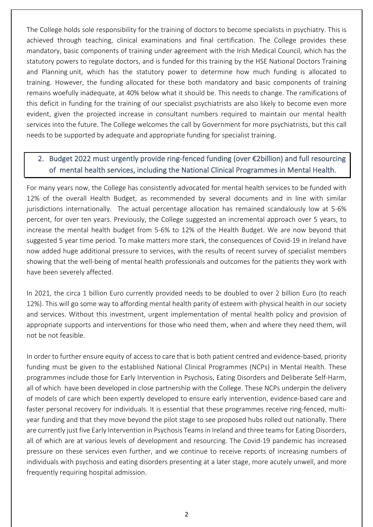The College holds sole responsibility for the training of doctors to become specialists in psychiatry. This is achieved through teaching, clinical examinations and final certification. The College provides these mandatory, basic components of training under agreement with the Irish Medical Council, which has the statutory powers to regulate doctors, and is funded for this training by the HSE National Doctors Training and Planning unit, which has the statutory power to determine how much funding is allocated to training. However, the funding allocated for these both mandatory and basic components of training remains woefully inadequate, at 40% below what it should be. This needs to change. The ramifications of this deficit in funding for the training of our specialist psychiatrists are also likely to become even more evident, given the projected increase in consultant numbers required to maintain our mental health services into the future. The College welcomes the call by Government for more psychiatrists, but this call needs to be supported by adequate and appropriate funding for specialist training.

### 2. Budget 2022 must urgently provide ring-fenced funding (over €2billion) and full resourcing of mental health services, including the National Clinical Programmes in Mental Health.

For many years now, the College has consistently advocated for mental health services to be funded with 12% of the overall Health Budget, as recommended by several documents and in line with similar jurisdictions internationally. The actual percentage allocation has remained scandalously low at 5-6% percent, for over ten years. Previously, the College suggested an incremental approach over 5 years, to increase the mental health budget from 5-6% to 12% of the Health Budget. We are now beyond that suggested 5 year time period. To make matters more stark, the consequences of Covid-19 in Ireland have now added huge additional pressure to services, with the results of recent survey of specialist members showing that the well-being of mental health professionals and outcomes for the patients they work with have been severely affected.

In 2021, the circa 1 billion Euro currently provided needs to be doubled to over 2 billion Euro (to reach 12%). This will go some way to affording mental health parity of esteem with physical health in our society and services. Without this investment, urgent implementation of mental health policy and provision of appropriate supports and interventions for those who need them, when and where they need them, will not be not feasible.

In order to further ensure equity of access to care that is both patient centred and evidence-based, priority funding must be given to the established National Clinical Programmes (NCPs) in Mental Health. These programmes include those for Early Intervention in Psychosis, Eating Disorders and Deliberate Self-Harm, all of which have been developed in close partnership with the College. These NCPs underpin the delivery of models of care which been expertly developed to ensure early intervention, evidence-based care and faster personal recovery for individuals. It is essential that these programmes receive ring-fenced, multiyear funding and that they move beyond the pilot stage to see proposed hubs rolled out nationally. There are currently just five Early Intervention in Psychosis Teams in Ireland and three teams for Eating Disorders, all of which are at various levels of development and resourcing. The Covid-19 pandemic has increased pressure on these services even further, and we continue to receive reports of increasing numbers of individuals with psychosis and eating disorders presenting at a later stage, more acutely unwell, and more frequently requiring hospital admission.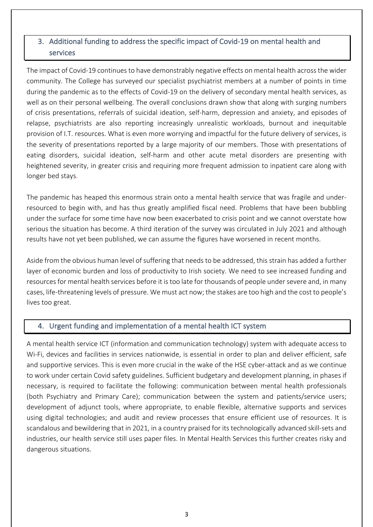#### 3. Additional funding to address the specific impact of Covid-19 on mental health and services

The impact of Covid-19 continues to have demonstrably negative effects on mental health across the wider community. The College has surveyed our specialist psychiatrist members at a number of points in time during the pandemic as to the effects of Covid-19 on the delivery of secondary mental health services, as well as on their personal wellbeing. The overall conclusions drawn show that along with surging numbers of crisis presentations, referrals of suicidal ideation, self-harm, depression and anxiety, and episodes of relapse, psychiatrists are also reporting increasingly unrealistic workloads, burnout and inequitable provision of I.T. resources. What is even more worrying and impactful for the future delivery of services, is the severity of presentations reported by a large majority of our members. Those with presentations of eating disorders, suicidal ideation, self-harm and other acute metal disorders are presenting with heightened severity, in greater crisis and requiring more frequent admission to inpatient care along with longer bed stays.

The pandemic has heaped this enormous strain onto a mental health service that was fragile and underresourced to begin with, and has thus greatly amplified fiscal need. Problems that have been bubbling under the surface for some time have now been exacerbated to crisis point and we cannot overstate how serious the situation has become. A third iteration of the survey was circulated in July 2021 and although results have not yet been published, we can assume the figures have worsened in recent months.

Aside from the obvious human level of suffering that needs to be addressed, this strain has added a further layer of economic burden and loss of productivity to Irish society. We need to see increased funding and resources for mental health services before it is too late for thousands of people under severe and, in many cases, life-threatening levels of pressure. We must act now; the stakes are too high and the cost to people's lives too great.

#### 4. Urgent funding and implementation of a mental health ICT system

A mental health service ICT (information and communication technology) system with adequate access to Wi-Fi, devices and facilities in services nationwide, is essential in order to plan and deliver efficient, safe and supportive services. This is even more crucial in the wake of the HSE cyber-attack and as we continue to work under certain Covid safety guidelines. Sufficient budgetary and development planning, in phases if necessary, is required to facilitate the following: communication between mental health professionals (both Psychiatry and Primary Care); communication between the system and patients/service users; development of adjunct tools, where appropriate, to enable flexible, alternative supports and services using digital technologies; and audit and review processes that ensure efficient use of resources. It is scandalous and bewildering that in 2021, in a country praised for its technologically advanced skill-sets and industries, our health service still uses paper files. In Mental Health Services this further creates risky and dangerous situations.